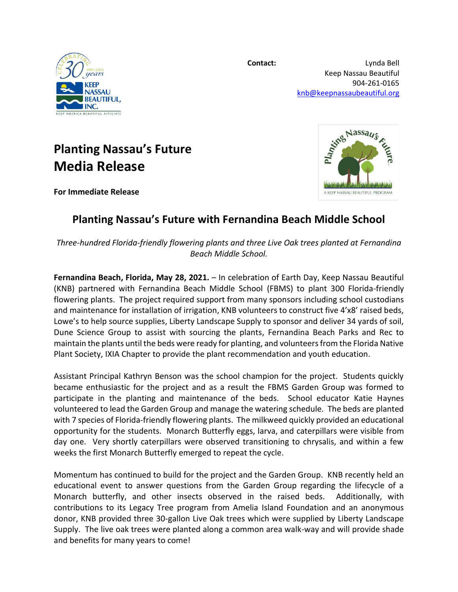

**Contact:** Lynda Bell Keep Nassau Beautiful 904-261-0165 [knb@keepnassaubeautiful.org](mailto:knb@keepnassaubeautiful.org)

Reprints Nassaus

A KEEP NASSAU BEAUTIFUL PROGRAM

## **Planting Nassau's Future Media Release**



**For Immediate Release**

## **Planting Nassau's Future with Fernandina Beach Middle School**

*Three-hundred Florida-friendly flowering plants and three Live Oak trees planted at Fernandina Beach Middle School.* 

**Fernandina Beach, Florida, May 28, 2021.** – In celebration of Earth Day, Keep Nassau Beautiful (KNB) partnered with Fernandina Beach Middle School (FBMS) to plant 300 Florida-friendly flowering plants. The project required support from many sponsors including school custodians and maintenance for installation of irrigation, KNB volunteers to construct five 4'x8' raised beds, Lowe's to help source supplies, Liberty Landscape Supply to sponsor and deliver 34 yards of soil, Dune Science Group to assist with sourcing the plants, Fernandina Beach Parks and Rec to maintain the plants until the beds were ready for planting, and volunteers from the Florida Native Plant Society, IXIA Chapter to provide the plant recommendation and youth education.

Assistant Principal Kathryn Benson was the school champion for the project. Students quickly became enthusiastic for the project and as a result the FBMS Garden Group was formed to participate in the planting and maintenance of the beds. School educator Katie Haynes volunteered to lead the Garden Group and manage the watering schedule. The beds are planted with 7 species of Florida-friendly flowering plants. The milkweed quickly provided an educational opportunity for the students. Monarch Butterfly eggs, larva, and caterpillars were visible from day one. Very shortly caterpillars were observed transitioning to chrysalis, and within a few weeks the first Monarch Butterfly emerged to repeat the cycle.

Momentum has continued to build for the project and the Garden Group. KNB recently held an educational event to answer questions from the Garden Group regarding the lifecycle of a Monarch butterfly, and other insects observed in the raised beds. Additionally, with contributions to its Legacy Tree program from Amelia Island Foundation and an anonymous donor, KNB provided three 30-gallon Live Oak trees which were supplied by Liberty Landscape Supply. The live oak trees were planted along a common area walk-way and will provide shade and benefits for many years to come!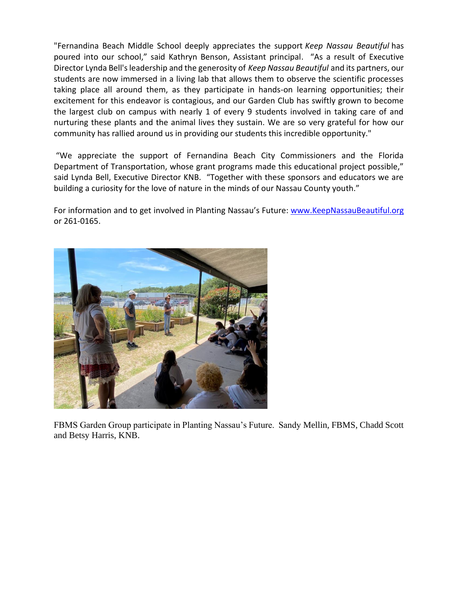"Fernandina Beach Middle School deeply appreciates the support *Keep Nassau Beautiful* has poured into our school," said Kathryn Benson, Assistant principal. "As a result of Executive Director Lynda Bell's leadership and the generosity of *Keep Nassau Beautiful* and its partners, our students are now immersed in a living lab that allows them to observe the scientific processes taking place all around them, as they participate in hands-on learning opportunities; their excitement for this endeavor is contagious, and our Garden Club has swiftly grown to become the largest club on campus with nearly 1 of every 9 students involved in taking care of and nurturing these plants and the animal lives they sustain. We are so very grateful for how our community has rallied around us in providing our students this incredible opportunity."

"We appreciate the support of Fernandina Beach City Commissioners and the Florida Department of Transportation, whose grant programs made this educational project possible," said Lynda Bell, Executive Director KNB. "Together with these sponsors and educators we are building a curiosity for the love of nature in the minds of our Nassau County youth."

For information and to get involved in Planting Nassau's Future: [www.KeepNassauBeautiful.org](http://www.keepnassaubeautiful.org/) or 261-0165.



FBMS Garden Group participate in Planting Nassau's Future. Sandy Mellin, FBMS, Chadd Scott and Betsy Harris, KNB.